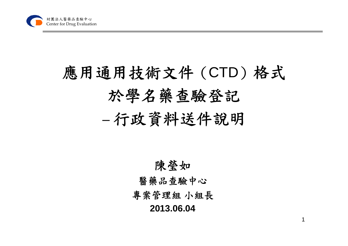

## 應用通用技術文件(CTD)格式 於學名藥查驗登記 –行政資料送件說明

#### 陳瑩如 醫藥品查驗中心 專案管理組 小組長 **2013.06.04**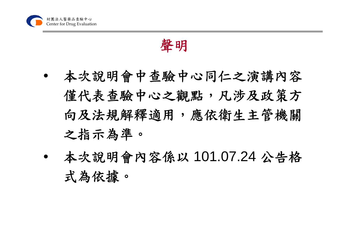

聲明

- • 本次說明會中查驗中心同仁之演講內容 僅代表查驗中心之觀點,凡涉及政策方 向及法規解釋適用,應依衛生主管機關 之指示為準。
- • 本次說明會內容係以 101.07.24 公告格 式為依據。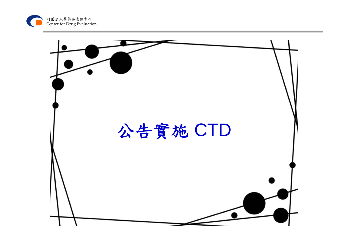

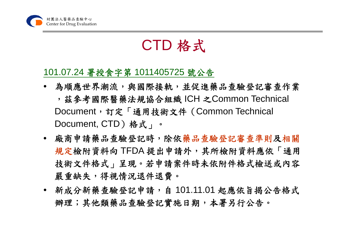

## CTD 格式

#### 101.07.24 署授食字第 1011405725 號公告

- 為順應世界潮流,與國際接軌,並促進藥品查驗登記審查作業 ,茲參考國際醫藥法規協合組織 ICH <sup>之</sup>Common Technical Document, 訂定「通用技術文件 (Common Technical Document, CTD)格式」。
- 廠商申請藥品查驗登記時,除依藥品查驗登記審查準則及相關 規定檢附資料向 TFDA 提出申請外,其所檢附資料應依「通用 技術文件格式」呈現。若申請案件時未依附件格式檢送或內容 嚴重缺失,得視情況退件退費。
- 新成分新藥查驗登記申請,自 101.11.01 起應依旨揭公告格式 辦理;其他類藥品查驗登記實施日期,本署另行公告。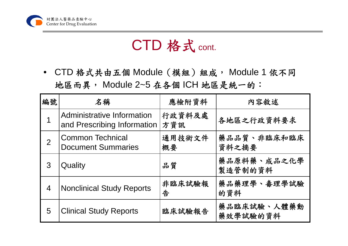

## CTD 格式 cont.

• CTD 格式共由五個 Module(模組)組成, Module 1 依不同 地區而異, Module 2~5 在各個 ICH 地區是統一的:

| 編號             | 名稱                                                        | 應檢附資料         | 内容敘述                    |
|----------------|-----------------------------------------------------------|---------------|-------------------------|
|                | Administrative Information<br>and Prescribing Information | 行政資料及處<br>方資訊 | 各地區之行政資料要求              |
| $\overline{2}$ | <b>Common Technical</b><br><b>Document Summaries</b>      | 通用技術文件<br>概要  | 藥品品質、非臨床和臨床<br>資料之摘要    |
| 3              | Quality                                                   | 品質            | 藥品原料藥、成品之化學<br>製造管制的資料  |
| $\overline{4}$ | <b>Nonclinical Study Reports</b>                          | 非臨床試驗報<br>告   | 藥品藥理學、毒理學試驗<br>的資料      |
| 5              | <b>Clinical Study Reports</b>                             | 臨床試驗報告        | 藥品臨床試驗、人體藥動<br>藥效學試驗的資料 |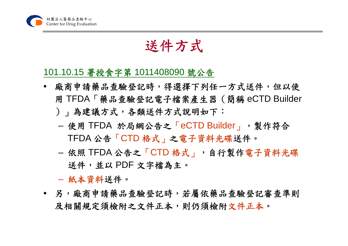

### 送件方式

#### 101.10.15 署授食字第 1011408090 號公告

- 廠商申請藥品查驗登記時,得選擇下列任一方式送件,但以使 用 TFDA「藥品查驗登記電子檔案產生器(簡稱 eCTD Builder )」為建議方式,各類送件方式說明如下:
	- – 使用 TFDA 於局網公告之「eCTD Builder」,製作符合 TFDA 公告「CTD 格式」之電子資料光碟送件。
	- –- 依照 TFDA 公告之「CTD 格式」,自行製作電子資料光碟 送件,並以 PDF 文字檔為主。
	- 紙本資料送件。
- 另,廠商申請藥品查驗登記時,若屬依藥品查驗登記審查準則 及相關規定須檢附之文件正本。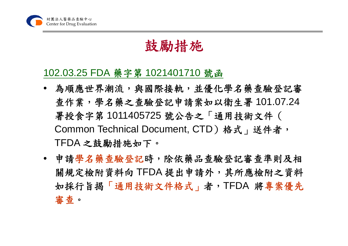

#### 鼓勵措施

#### 102.03.25 FDA 藥字第 1021401710 號函

- 為順應世界潮流,與國際接軌,並優化學名藥查驗登記審 查作業,學名藥之查驗登記申請案如以衛生署 101.07.24 署授食字第 1011405725 號公告之「通用技術文件( Common Technical Document, CTD)格式, 送件者, TFDA 之鼓勵措施如下。
- 申請學名藥查驗登記時,除依藥品查驗登記審查準則及相 關規定檢附資料向 TFDA 提出申請外,其所應檢附之資料 如採行旨揭「通用技術文件格式」者,TFDA 將專案優先 審查。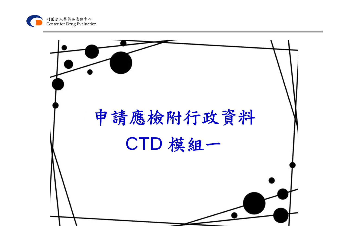

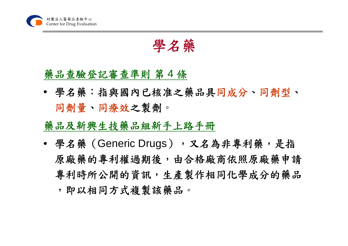

學名藥

#### 藥品查驗登記審查準則 第 4 條

• 學名藥:指與國內已核准之藥品具同成分、同劑型、 同劑量、同療效之製劑。

#### 藥品及新興生技藥品組新手上路手冊

• 學名藥(Generic Drugs),又名為非專利藥,是指 原廠藥的專利權過期後,由合格廠商依照原廠藥申請 專利時所公開的資訊,生產製作相同化學成分的藥品 ,即以相同方式複製該藥品。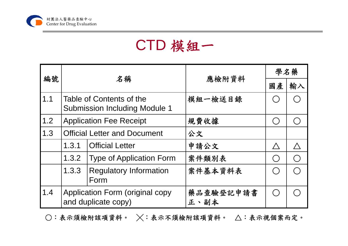

## CTD 模組一

|     | 名稱                                                               |                                       | 應檢附資料             | 學名藥         |    |
|-----|------------------------------------------------------------------|---------------------------------------|-------------------|-------------|----|
| 編號  |                                                                  |                                       |                   | 國產          | 輸入 |
| 1.1 | Table of Contents of the<br><b>Submission Including Module 1</b> |                                       | 模組一檢送目錄           |             |    |
| 1.2 |                                                                  | <b>Application Fee Receipt</b>        | 規費收據              |             |    |
| 1.3 | <b>Official Letter and Document</b>                              |                                       | 公文                |             |    |
|     | 1.3.1                                                            | <b>Official Letter</b>                | 申請公文              | $\bigwedge$ |    |
|     | 1.3.2                                                            | <b>Type of Application Form</b>       | 案件類別表             |             |    |
|     | 1.3.3                                                            | <b>Regulatory Information</b><br>Form | 案件基本資料表           |             |    |
| 1.4 | Application Form (original copy<br>and duplicate copy)           |                                       | 藥品查驗登記申請書<br>正、副本 |             |    |

 $\bigcirc$ :表示須檢附該項資料。  $\times$ :表示不須檢附該項資料。  $\bigtriangleup$ :表示視個案而定。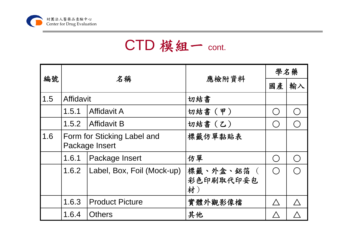

|                   | 名稱                                            |                            |                               | 學名藥         |    |
|-------------------|-----------------------------------------------|----------------------------|-------------------------------|-------------|----|
| 編號                |                                               |                            | 應檢附資料                         | 國產          | 輸入 |
| $\vert 1.5 \vert$ | Affidavit                                     |                            | 切結書                           |             |    |
|                   | 1.5.1                                         | <b>Affidavit A</b>         | 切結書(甲)                        |             |    |
|                   | 1.5.2                                         | Affidavit B                | 切結書(乙)                        |             |    |
| 1.6               | Form for Sticking Label and<br>Package Insert |                            | 標籤仿單黏貼表                       |             |    |
|                   | 1.6.1                                         | Package Insert             | 仿單                            | $( \ )$     |    |
|                   | 1,6.2                                         | Label, Box, Foil (Mock-up) | 標籤、外盒、鋁箔 (<br>彩色印刷取代印妥包<br>材) | $\bigcap$   |    |
|                   | 1.6.3                                         | <b>Product Picture</b>     | 實體外觀影像檔                       | $\bigwedge$ |    |
|                   | 1.6.4                                         | <b>Others</b>              | 其他                            |             |    |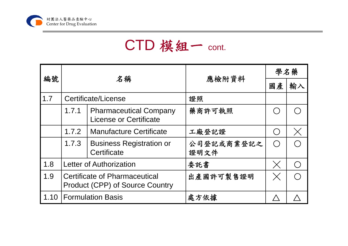

|      | 名稱                                                                             |                                                                | 應檢附資料              | 學名藥                                         |          |
|------|--------------------------------------------------------------------------------|----------------------------------------------------------------|--------------------|---------------------------------------------|----------|
| 編號   |                                                                                |                                                                |                    | 國產                                          | 輸入       |
| 1.7  |                                                                                | Certificate/License                                            | 證照                 |                                             |          |
|      | 1.7.1                                                                          | <b>Pharmaceutical Company</b><br><b>License or Certificate</b> | 藥商許可執照             | $(\quad)$                                   |          |
|      | 1.7.2                                                                          | <b>Manufacture Certificate</b>                                 | 工廠登記證              | $\left(\begin{array}{c} \end{array}\right)$ | $\times$ |
|      | 1.7.3                                                                          | <b>Business Registration or</b><br>Certificate                 | 公司登記或商業登記之<br>證明文件 | $\bigcirc$                                  |          |
| 1.8  | <b>Letter of Authorization</b>                                                 |                                                                | 委託書                | $\times$                                    |          |
| 1.9  | <b>Certificate of Pharmaceutical</b><br><b>Product (CPP) of Source Country</b> |                                                                | 出產國許可製售證明          | $\times$                                    |          |
| 1.10 | <b>Formulation Basis</b>                                                       |                                                                | 處方依據               |                                             |          |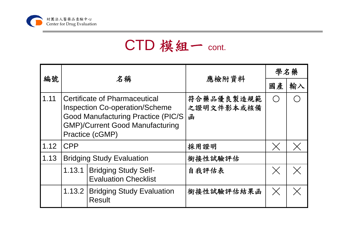

| 編號   |                                                                                                                                                                                          |                                                            |                               | 學名藥      |    |
|------|------------------------------------------------------------------------------------------------------------------------------------------------------------------------------------------|------------------------------------------------------------|-------------------------------|----------|----|
|      | 名稱                                                                                                                                                                                       |                                                            | 應檢附資料                         | 國產       | 輸入 |
| 1.11 | <b>Certificate of Pharmaceutical</b><br><b>Inspection Co-operation/Scheme</b><br><b>Good Manufacturing Practice (PIC/S)</b><br><b>GMP)/Current Good Manufacturing</b><br>Practice (cGMP) |                                                            | 符合藥品優良製造規範<br>之證明文件影本或核備<br>函 | $( \ )$  |    |
| 1.12 | <b>CPP</b>                                                                                                                                                                               |                                                            | 採用證明                          | $\times$ |    |
| 1.13 | <b>Bridging Study Evaluation</b>                                                                                                                                                         |                                                            | 銜接性試驗評估                       |          |    |
|      | 1.13.1                                                                                                                                                                                   | <b>Bridging Study Self-</b><br><b>Evaluation Checklist</b> | 自我評估表                         | $\times$ |    |
|      | 1.13.2                                                                                                                                                                                   | <b>Bridging Study Evaluation</b><br><b>Result</b>          | 銜接性試驗評估結果函                    | $\times$ |    |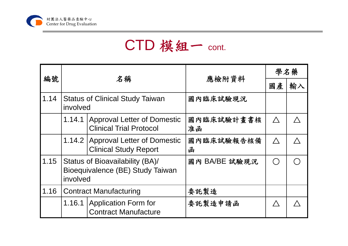

|      | 名稱                                                                              |                                                                      | 應檢附資料            | 學名藥         |    |
|------|---------------------------------------------------------------------------------|----------------------------------------------------------------------|------------------|-------------|----|
| 編號   |                                                                                 |                                                                      |                  | 國產          | 輸入 |
| 1.14 | <b>Status of Clinical Study Taiwan</b><br>involved                              |                                                                      | 國內臨床試驗現況         |             |    |
|      | 1.14.1                                                                          | <b>Approval Letter of Domestic</b><br><b>Clinical Trial Protocol</b> | 國內臨床試驗計畫書核<br>准函 | $\bigwedge$ |    |
|      |                                                                                 | 1.14.2 Approval Letter of Domestic<br><b>Clinical Study Report</b>   | 國內臨床試驗報告核備<br>函  | $\bigwedge$ |    |
| 1.15 | Status of Bioavailability (BA)/<br>Bioequivalence (BE) Study Taiwan<br>involved |                                                                      | 國內 BA/BE 試驗現況    |             |    |
| 1.16 | <b>Contract Manufacturing</b>                                                   |                                                                      | 委託製造             |             |    |
|      | 1.16.1                                                                          | <b>Application Form for</b><br><b>Contract Manufacture</b>           | 委託製造申請函          | $\bigwedge$ |    |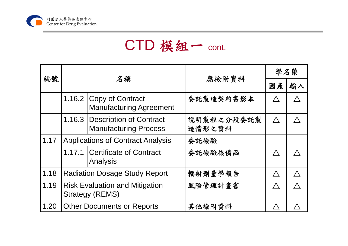

|      | 名稱                                                              |                                                                  | 應檢附資料                | 學名藥         |    |
|------|-----------------------------------------------------------------|------------------------------------------------------------------|----------------------|-------------|----|
| 編號   |                                                                 |                                                                  |                      | 國產          | 輸入 |
|      |                                                                 | 1.16.2 Copy of Contract<br><b>Manufacturing Agreement</b>        | 委託製造契約書影本            | $\bigwedge$ |    |
|      |                                                                 | 1.16.3   Description of Contract<br><b>Manufacturing Process</b> | 說明製程之分段委託製<br>造情形之資料 | $\bigwedge$ |    |
| 1.17 | <b>Applications of Contract Analysis</b>                        |                                                                  | 委託檢驗                 |             |    |
|      |                                                                 | 1.17.1 Certificate of Contract<br>Analysis                       | 委託檢驗核備函              | $\bigwedge$ |    |
| 1.18 | <b>Radiation Dosage Study Report</b>                            |                                                                  | 輻射劑量學報告              | $\bigwedge$ |    |
| 1.19 | <b>Risk Evaluation and Mitigation</b><br><b>Strategy (REMS)</b> |                                                                  | 風險管理計畫書              |             |    |
| 1.20 | <b>Other Documents or Reports</b>                               |                                                                  | 其他檢附資料               |             |    |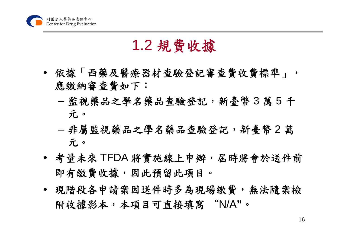

### 1.2 規費收據

- 依據「西藥及醫療器材查驗登記審查費收費標準」, 應繳納審查費如下:
	- – 監視藥品之學名藥品查驗登記,新臺幣 3 萬 5 千 元。
	- 非屬監視藥品之學名藥品查驗登記,新臺幣 2 萬 元。
- 考量未來 TFDA 將實施線上申辦,屆時將會於送件前 即有繳費收據,因此預留此項目。
- 現階段各申請案因送件時多為現場繳費,無法隨案檢 附收據影本,本項目可直接填寫 "N/A**"**。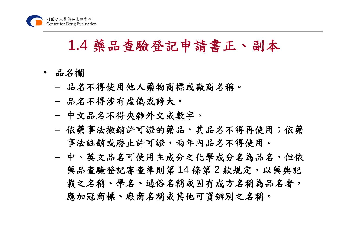#### 1.4 藥品查驗登記申請書正、副本

- 品名欄
	- –品名不得使用他人藥物商標或廠商名稱。
	- –品名不得涉有虛偽或誇大。
	- 中文品名不得夾雜外文或數字。
	- 依藥事法撤銷許可證的藥品,其品名不得再使用;依藥 事法註銷或廢止許可證,兩年內品名不得使用。
	- – 中、英文品名可使用主成分之化學成分名為品名,但依 藥品查驗登記審查準則第14條第2款規定,以藥典記 載之名稱、學名、通俗名稱或固有成方名稱為品名者, 應加冠商標、廠商名稱或其他可資辨別之名稱。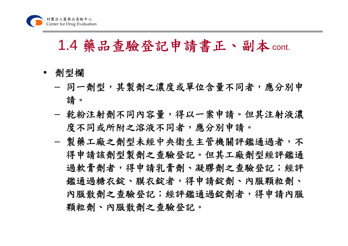#### 1.4 藥品查驗登記申請書正、副本cont.

- 劑型欄
	- –- 同一劑型,其製劑之濃度或單位含量不同者,應分別申 請。
	- – 乾粉注射劑不同內容量,得以一案申請。但其注射液濃 度不同或所附之溶液不同者,應分別申請。
	- –- 製藥工廠之劑型未經中央衛生主管機關評鑑通過者,不 得申請該劑型製劑之查驗登記。但其工廠劑型經評鑑通 過軟膏劑者,得申請乳膏劑、凝膠劑之查驗登記;經評 鑑通過糖衣錠、膜衣錠者,得申請錠劑、內服顆粒劑、 內服散劑之查驗登記;經評鑑通過錠劑者,得申請內服 顆粒劑、內服散劑之查驗登記。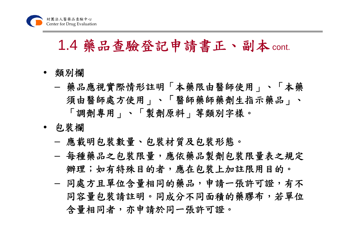#### 1.4 藥品查驗登記申請書正、副本cont.

- 類別欄
	- – 藥品應視實際情形註明「本藥限由醫師使用」、「本藥 須由醫師處方使用」、「醫師藥師藥劑生指示藥品」、 「調劑專用」、「製劑原料」等類別字樣。
- 包裝欄
	- –應載明包裝數量、包裝材質及包裝形態。
	- – 每種藥品之包裝限量,應依藥品製劑包裝限量表之規定 辦理;如有特殊目的者,應在包裝上加註限用目的。
	- 同處方且單位含量相同的藥品,申請一張許可證,有不 同容量包裝請註明。同成分不同面積的藥膠布,若單位 含量相同者,亦申請於同一張許可證。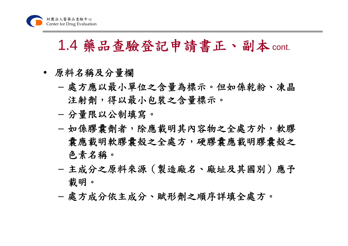### 1.4 藥品查驗登記申請書正、副本cont.

- 原料名稱及分量欄
	- 處方應以最小單位之含量為標示。但如係乾粉、凍晶 注射劑,得以最小包裝之含量標示。
	- –分量限以公制填寫。
	- – 如係膠囊劑者,除應載明其內容物之全處方外,軟膠 囊應載明軟膠囊殼之全處方,硬膠囊應載明膠囊殼之 色素名稱。
	- 主成分之原料來源(製造廠名、廠址及其國別)應予 載明。
	- 處方成分依主成分、賦形劑之順序詳填全處方。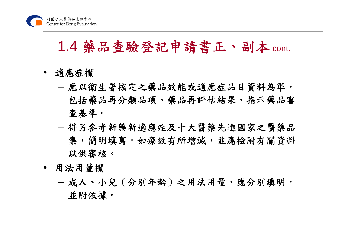### 1.4 藥品查驗登記申請書正、副本 cont.

- 適應症欄
	- 應以衛生署核定之藥品效能或適應症品目資料為準, 包括藥品再分類品項、藥品再評估結果、指示藥品審 查基準。
	- – 得另參考新藥新適應症及十大醫藥先進國家之醫藥品 集,簡明填寫。如療效有所增減,並應檢附有關資料 以供審核。
- 用法用量欄
	- 成人、小兒(分別年齡)之用法用量,應分別填明, 並附依據。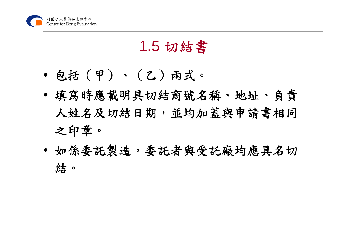

## 1.5 切結書

- 包括(甲)、(乙)兩式。
- 填寫時應載明具切結商號名稱、地址、負責 人姓名及切結日期,並均加蓋與申請書相同 之印章。
- 如係委託製造,委託者與受託廠均應具名切 結。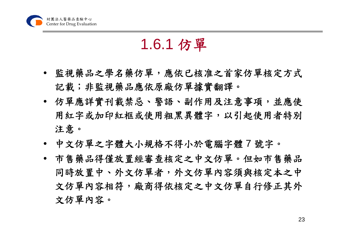

#### 1.6.1 仿單

- 監視藥品之學名藥仿單,應依已核准之首家仿單核定方式 記載;非監視藥品應依原廠仿單據實翻譯。
- 仿單應詳實刊載禁忌、警語、副作用及注意事項,並應使 用紅字或加印紅框或使用粗黑異體字,以引起使用者特別 注意。
- 中文仿單之字體大小規格不得小於電腦字體 7 號字。
- 市售藥品得僅放置經審查核定之中文仿單。但如市售藥品 同時放置中、外文仿單者,外文仿單內容須與核定本之中 文仿單內容相符,廠商得依核定之中文仿單自行修正其外 文仿單內容。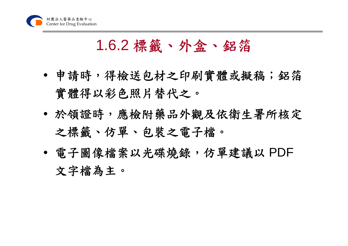

### 1.6.2 標籤、外盒、鋁箔

- 申請時,得檢送包材之印刷實體或擬稿;鋁箔 實體得以彩色照片替代之。
- 於領證時,應檢附藥品外觀及依衛生署所核定 之標籤、仿單、包裝之電子檔。
- 電子圖像檔案以光碟燒錄,仿單建議以 PDF 文字檔為主。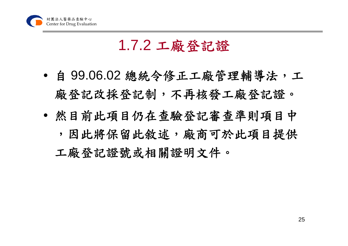

### 1.7.2 工廠登記證

- 自 99.06.02 總統令修正工廠管理輔導法,工 廠登記改採登記制,不再核發工廠登記證。
- 然目前此項目仍在查驗登記審查準則項目中 ,因此將保留此敘述,廠商可於此項目提供 工廠登記證號或相關證明文件。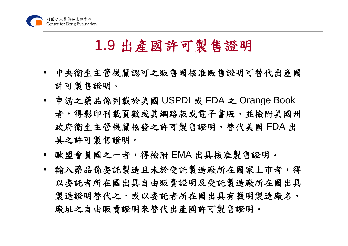

#### 1.9 出產國許可製售證明

- 中央衛生主管機關認可之販售國核准販售證明可替代出產國 許可製售證明。
- 申請之藥品係列載於美國 USPDI 或 FDA <sup>之</sup> Orange Book 者,得影印刊載頁數或其網路版或電子書版,並檢附美國州 政府衛生主管機關核發之許可製售證明,替代美國 FDA 出 具之許可製售證明。
- 歐盟會員國之一者,得檢附 EMA 出具核准製售證明。
- 輸入藥品係委託製造水受託製造廠所在國家上市者,得 以委託者所在國出具自由販賣證明及受託製造廠所在國出具 製造證明替代之,或以委託者所在國出具有載明製造廠名、 廠址之自由販賣證明來替代出產國許可製售證明。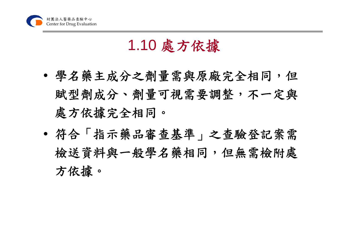

## 1.10 處方依據

- 學名藥主成分之劑量需與原廠完全相同,但 賦型劑成分、劑量可視需要調整,不一定與 處方依據完全相同。
- $\bullet$  符合「指示藥品審查基準」之查驗登記案需 檢送資料與一般學名藥相同,但無需檢附處 方依據。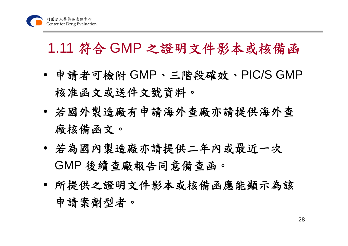## 1.11 符合 GMP 之證明文件影本或核備函

- 申請者可檢附 GMP、三階段確效、PIC/S GMP 核准函文或送件文號資料。
- • 若國外製造廠有申請海外查廠亦請提供海外查 廠核備函文。
- 若為國內製造廠亦請提供二年內或最近一次 GMP 後續查廠報告同意備查函。
- 所提供之證明文件影本或核備函應能顯示為該 申請案劑型者。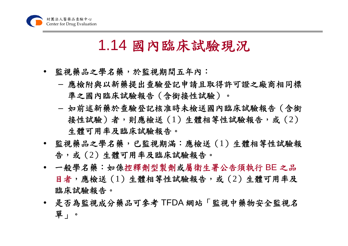

#### 1.14 國內臨床試驗現況

- 監視藥品之學名藥,於監視期間五年內:
	- –- 應檢附與以新藥提出查驗登記申請且取得許可證之廠商相同標 準之國內臨床試驗報告(含銜接性試驗)。
	- – 如前述新藥於查驗登記核准時未檢送國內臨床試驗報告(含銜 接性試驗)者,則應檢送(1)生體相等性試驗報告,或(2) 生體可用率及臨床試驗報告。
- 監視藥品之學名藥,已監視期滿︰應檢送(1)生體相等性試驗報 告,或(2)生體可用率及臨床試驗報告。
- 一般學名藥︰如係控釋劑型製劑或屬衛生署公告須執行 BE 之品 目者,應檢送(1)生體相等性試驗報告,或(2)生體可用率及 臨床試驗報告。
- 是否為監視成分藥品可參考 TFDA 網站「監視中藥物安全監視名 單」。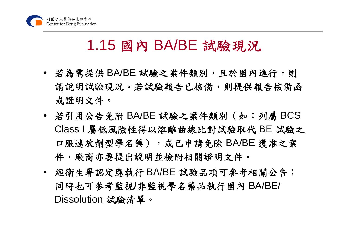

### 1.15 國內 BA/BE 試驗現況

- 若為需提供 BA/BE 試驗之案件類別,且於國內進行,則 請說明試驗現況。若試驗報告已核備,則提供報告核備函 或證明文件。
- 若引用公告免附 BA/BE 試驗之案件類別(如:列屬 BCS Class I 屬低風險性得以溶離曲線比對試驗取代 BE 試驗之 口服速放劑型學名藥),或已申請免除 BA/BE 獲准之案 件,廠商亦要提出說明並檢附相關證明文件。
- 經衛生署認定應執行 BA/BE 試驗品項可參考相關公告; 同時也可參考監視**/**非監視學名藥品執行國內 BA/BE/ Dissolution 試驗清單。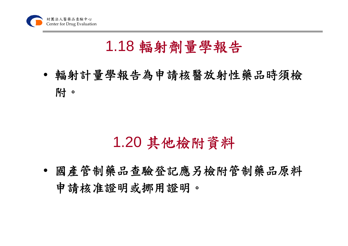

### 1.18 輻射劑量學報告

• 輻射計量學報告為申請核醫放射性藥品時須檢 附。

### 1.20 其他檢附資料

• 國產管制藥品查驗登記應另檢附管制藥品原料 申請核准證明或挪用證明。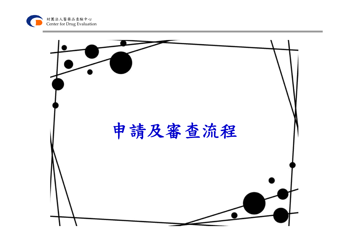

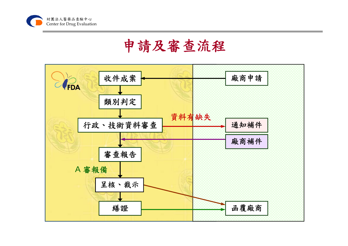

## 申請及審查流程

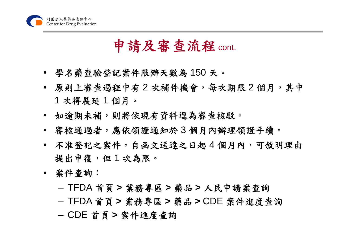

### 申請及審查流程cont.

- 學名藥查驗登記案件限辦天數為 150 天。
- 原則上審查過程中有 2 次補件機會,每次期限 2 個月,其中 1 次得展延 1 個月。
- 如逾期未補,則將依現有資料逕為審查核駁。
- 審核通過者,應依領證通知於 3 個月內辦理領證手續。
- 不准登記之案件,自函文送達之日起 4 個月內,可敘明理由 提出申復,但1次為限。
- 案件查詢:
	- TFDA 首頁 **<sup>&</sup>gt;**業務專區 **<sup>&</sup>gt;**藥品 **<sup>&</sup>gt;**人民申請案查詢
	- TFDA 首頁 **<sup>&</sup>gt;**業務專區 **<sup>&</sup>gt;**藥品 **<sup>&</sup>gt;**CDE 案件進度查詢
	- CDE 首頁 **<sup>&</sup>gt;**案件進度查詢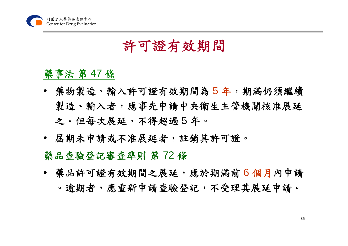

#### 許可證有效期間

#### 藥事法 第 47 條

- 藥物製造、輸入許可證有效期間為 5 年,期滿仍須繼續 製造、輸入者,應事先申請中央衛生主管機關核准展延 之。但每次展延,不得超過 5 年。
- 屆期未申請或不准展延者,註銷其許可證。 藥品查驗登記審查準則 第 72 條
- 藥品許可證有效期間之展延,應於期滿前 6 個月內申請 。逾期者,應重新申請查驗登記,不受理其展延申請。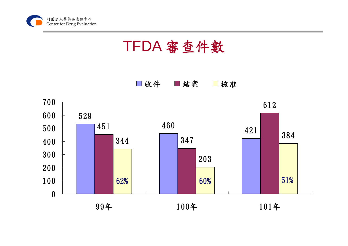

TFDA 審查件數

□收件 ■結案 □核准

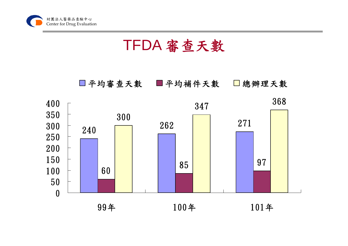

TFDA 審查天數



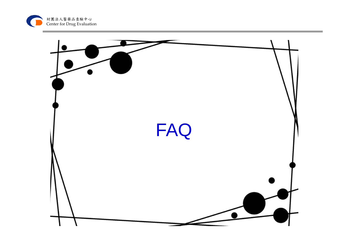

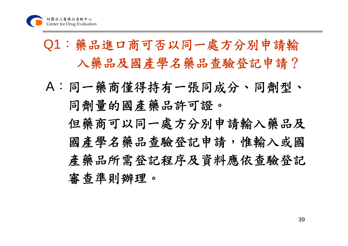## Q1:藥品進口商可否以同一處方分別申請輸 入藥品及國產學名藥品查驗登記申請?

A:同一藥商僅得持有一張同成分、同劑型、 同劑量的國產藥品許可證。 但藥商可以同一處方分別申請輸入藥品及 國產學名藥品查驗登記申請,惟輸入或國 產藥品所需登記程序及資料應依查驗登記 審查準則辦理。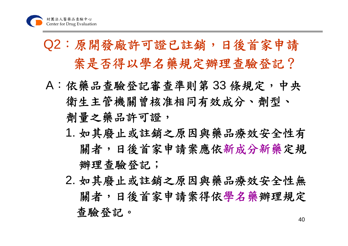## Q2:原開發廠許可證已註銷,日後首家申請 案是否得以學名藥規定辦理查驗登記?

- A:依藥品查驗登記審查準則第 33 條規定,中央 衛生主管機關曾核准相同有效成分、劑型、 劑量之藥品許可證,
	- 1. 如其廢止或註銷之原因與藥品療效安全性有 關者,日後首家申請案應依新成分新藥定規 辦理查驗登記;
	- 402. 如其廢止或註銷之原因與藥品療效安全性無 關者,日後首家申請案得依學名藥辦理規定 查驗登記。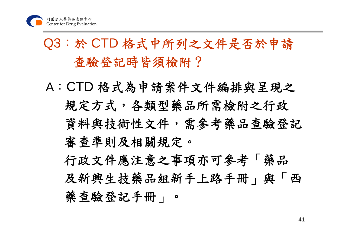## Q3:於 CTD 格式中所列之文件是否於申請 查驗登記時皆須檢附?

A:CTD 格式為申請案件文件編排與呈現之 規定方式,各類型藥品所需檢附之行政 資料與技術性文件,需參考藥品查驗登記 審查準則及相關規定。 行政文件應注意之事項亦可參考「藥品

及新興生技藥品組新手上路手冊」與「西 藥查驗登記手冊」。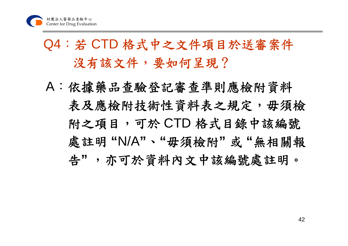## Q4:若 CTD 格式中之文件項目於送審案件 沒有該文件,要如何呈現?

A:依據藥品查驗登記審查準則應檢附資料 表及應檢附技術性資料表之規定,毋須檢 附之項目,可於 CTD 格式目錄中該編號 處註明 **"**N/A**"**、**"**毋須檢附**"** 或 **"**無相關報 告**"** ,亦可於資料內文中該編號處註明。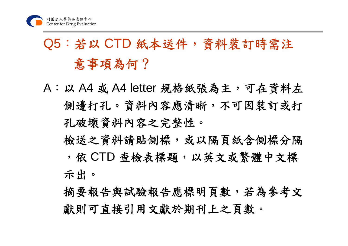# Q5:若以 CTD 紙本送件,資料裝訂時需注 意事項為何?

A:以 A4 或 A4 letter 規格紙張為主,可在資料左 側邊打孔。資料內容應清晰,不可因裝訂或打 孔破壞資料內容之完整性。

檢送之資料請貼側標,或以隔頁紙含側標分隔 ,依 CTD 查檢表標題,以英文或繁體中文標 示出。

摘要報告與試驗報告應標明頁數,若為參考文 獻則可直接引用文獻於期刊上之頁數。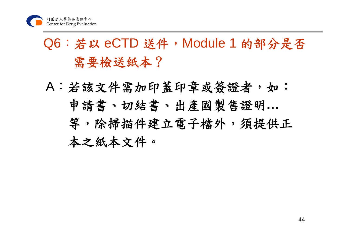## Q6:若以 eCTD 送件,Module 1 的部分是否 需要檢送紙本?

A:若該文件需加印蓋印章或簽證者,如︰ 申請書、切結書、出產國製售證明**…** 等,除掃描件建立電子檔外,須提供正 本之紙本文件。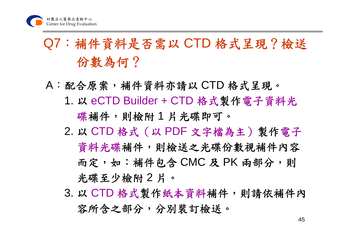## Q7:補件資料是否需以 CTD 格式呈現?檢送 份數為何?

- A:配合原案,補件資料亦請以 CTD 格式呈現。
	- 1. 以 eCTD Builder + CTD 格式製作電子資料光 碟補件,則檢附1片光碟即可。
	- 2. 以 CTD 格式(以 PDF 文字檔為主)製作電子 資料光碟補件,則檢送之光碟份數視補件內容 而定,如:補件包含 CMC 及 PK 兩部分,則 光碟至少檢附 2 片。
	- 3. 以 CTD 格式製作紙本資料補件,則請依補件內 容所含之部分,分別裝訂檢送。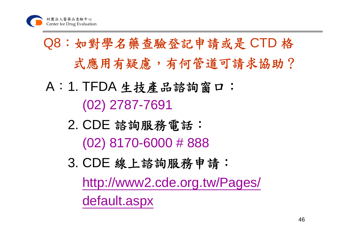# Q8:如對學名藥查驗登記申請或是 CTD 格 式應用有疑慮,有何管道可請求協助?

- A: 1. TFDA 生技產品諮詢窗口: (02) 2787-7691
	- 2. CDE 諮詢服務電話: (02) 8170-6000 # 888
	- 3. CDE 線上諮詢服務申請: http://www2.cde.org.tw/Pages/ default.aspx